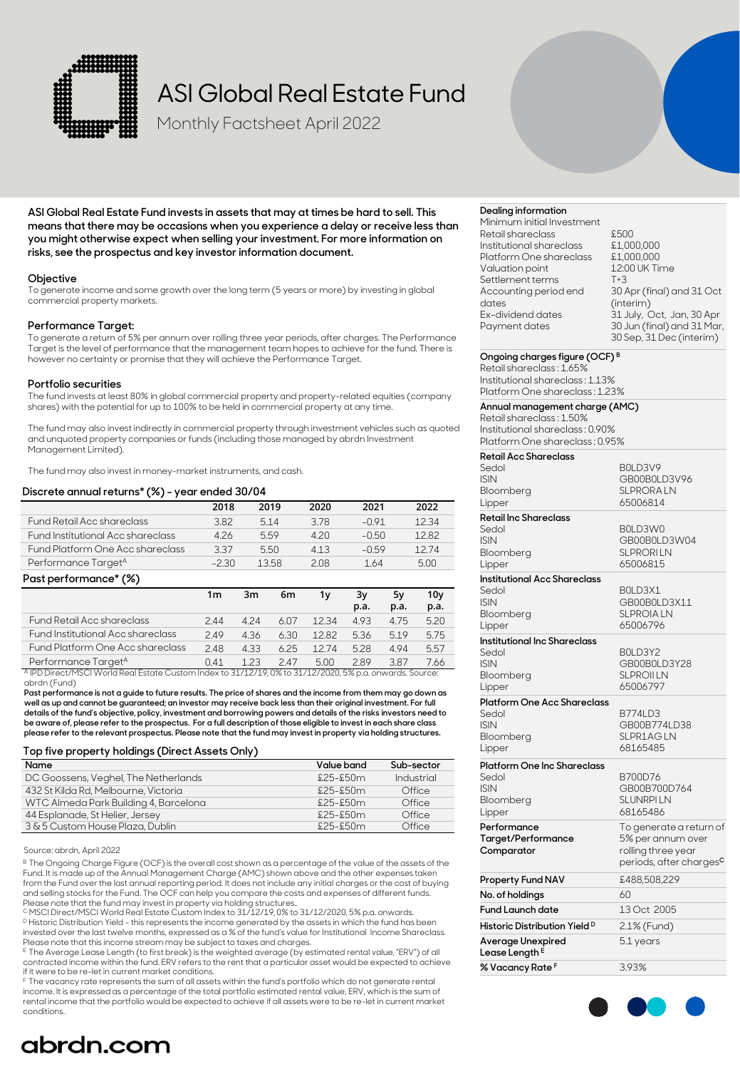

# ASI Global Real Estate Fund

Monthly Factsheet April 2022

**ASI Global Real Estate Fund invests in assets that may at times be hard to sell. This means that there may be occasions when you experience a delay or receive less than you might otherwise expect when selling your investment. For more information on risks, see the prospectus and key investor information document.**

### **Objective**

To generate income and some growth over the long term (5 years or more) by investing in global commercial property markets.

### **Performance Target:**

To generate a return of 5% per annum over rolling three year periods, after charges. The Performance Target is the level of performance that the management team hopes to achieve for the fund. There is however no certainty or promise that they will achieve the Performance Target.

### **Portfolio securities**

The fund invests at least 80% in global commercial property and property-related equities (company shares) with the potential for up to 100% to be held in commercial property at any time.

The fund may also invest indirectly in commercial property through investment vehicles such as quoted and unquoted property companies or funds (including those managed by abrdn Investment Management Limited).

The fund may also invest in money-market instruments, and cash.

### **Discrete annual returns\* (%) - year ended 30/04**

|                                          | 2018    | 2019 | 2020 | 2021    | 2022  |
|------------------------------------------|---------|------|------|---------|-------|
| Fund Retail Acc shareclass               | 382     | 514  | 378  | $-0.91$ | 12.34 |
| <b>Fund Institutional Acc shareclass</b> | 426     | 5.59 | 420  | -0.50   | 1282  |
| <b>Fund Platform One Acc shareclass</b>  | 337     | 5.50 | 413  | $-0.59$ | 1274  |
| Performance Target <sup>A</sup>          | $-2.30$ | 1358 | 208  | 1.64    | 5.00  |

#### **Past performance\* (%)**

|                                                                                                                     | 1m   | 3m   | 6m   | 1۷   | Зν<br>p.a. | 5v<br>p.a. | 10v<br>p.a. |
|---------------------------------------------------------------------------------------------------------------------|------|------|------|------|------------|------------|-------------|
| Fund Retail Acc shareclass                                                                                          | 244  | 424  | 607  | 1234 | 493        | 4.75       | 5.20        |
| <b>Fund Institutional Acc shareclass</b>                                                                            | 249  | 4.36 | 6.30 | 1282 | 536        | 519        | 5.75        |
| Fund Platform One Acc shareclass                                                                                    | 248  | 4.33 | 625  | 1274 | 528        | 494        | 5.57        |
| Performance Target <sup>A</sup>                                                                                     | O 41 | 123  | 247  | 5.00 | 289        | 3.87       | 7.66        |
| <sup>A</sup> IPD Direct/MSCI World Real Estate Custom Index to 31/12/19, 0% to 31/12/2020, 5% p.a. onwards. Source: |      |      |      |      |            |            |             |

abrdn (Fund)

**Past performance is not a guide to future results. The price of shares and the income from them may go down as well as up and cannot be guaranteed; an investor may receive back less than their original investment. For full details of the fund's objective, policy, investment and borrowing powers and details of the risks investors need to be aware of, please refer to the prospectus. For a full description of those eligible to invest in each share class please refer to the relevant prospectus. Please note that the fund may invest in property via holding structures.**

### **Top five property holdings (Direct Assets Only)**

| Name                                  | Value band    | Sub-sector |
|---------------------------------------|---------------|------------|
| DC Goossens, Veghel, The Netherlands  | $£25 - £50$ m | Industrial |
| 432 St Kilda Rd, Melbourne, Victoria  | $$25 - $50m$  | Office     |
| WTC Almeda Park Building 4, Barcelona | $£25 - £50$ m | Office     |
| 44 Esplanade, St Helier, Jersey       | $£25 - £50$ m | Office     |
| 3 & 5 Custom House Plaza, Dublin      | $£25 - £50$ m | Office     |

Source: abrdn, April 2022

<sup>B</sup> The Ongoing Charge Figure (OCF) is the overall cost shown as a percentage of the value of the assets of the<br>Fund. It is made up of the Annual Management Charge (AMC) shown above and the other expenses taken from the Fund over the last annual reporting period. It does not include any initial charges or the cost of buying and selling stocks for the Fund. The OCF can help you compare the costs and expenses of different funds.<br>Please note that the fund may invest in property via holding structures..

<sup>C</sup> MSCI Direct/MSCI World Real Estate Custom Index to 31/12/19, 0% to 31/12/2020, 5% p.a. onwards. D Historic Distribution Yield - this represents the income generated by the assets in which the fund has been invested over the last twelve months, expressed as a % of the fund's value for Institutional Income Shareclass.

Please note that this income stream may be subject to taxes and charges. E The Average Lease Length (to first break) is the weighted average (by estimated rental value, "ERV") of all contracted income within the fund. ERV refers to the rent that a particular asset would be expected to achieve

 $^\text{F}$  The vacancy rate represents the sum of all assets within the fund's portfolio which do not generate rental income. It is expressed as a percentage of the total portfolio estimated rental value, ERV, which is the sum of rental income that the portfolio would be expected to achieve if all assets were to be re-let in current market conditions..

### **Dealing information**

Minimum initial Investment Retail shareclass Institutional shareclass Platform One shareclass Valuation point Settlement terms Accounting period end dates Ex-dividend dates Payment dates

£500 £1,000,000 £1,000,000 12:00 UK Time T+3 30 Apr (final) and 31 Oct (interim) 31 July, Oct, Jan, 30 Apr 30 Jun (final) and 31 Mar, 30 Sep, 31 Dec (interim)

### **Ongoing charges figure (OCF) B**

Retail shareclass : 1.65% Institutional shareclass : 1.13% Platform One shareclass : 1.23%

## **Annual management charge (AMC)**

Retail shareclass : 1.50% Institutional shareclass : 0.90% Platform One shareclass : 0.95%

| <b>Retail Acc Shareclass</b>             |                                     |
|------------------------------------------|-------------------------------------|
| Sedol                                    | BOLD3V9                             |
| <b>ISIN</b>                              | GB00B0LD3V96                        |
| Bloomberg                                | SLPRORA LN                          |
| Lipper                                   | 65006814                            |
| <b>Retail Inc Shareclass</b>             |                                     |
| Sedol                                    | B0LD3W0                             |
| <b>ISIN</b>                              | GB00B0LD3W04                        |
| Bloomberg                                | <b>SLPRORILN</b>                    |
| Lipper                                   | 65006815                            |
| <b>Institutional Acc Shareclass</b>      |                                     |
| Sedol                                    | BOLD3X1                             |
| <b>ISIN</b>                              | GB00B0LD3X11                        |
| Bloomberg                                | <b>SLPROIA LN</b>                   |
| Lipper                                   | 65006796                            |
| <b>Institutional Inc Shareclass</b>      |                                     |
| Sedol                                    | BOLD3Y2                             |
| <b>ISIN</b>                              | GB00B0LD3Y28                        |
| Bloomberg                                | <b>SLPROILN</b>                     |
| Lipper                                   | 65006797                            |
| Platform One Acc Shareclass              |                                     |
| Sedol                                    | B774LD3                             |
| <b>ISIN</b>                              | GB00B774LD38                        |
| Bloomberg                                | SLPR1AG LN                          |
| Lipper                                   | 68165485                            |
| <b>Platform One Inc Shareclass</b>       |                                     |
| Sedol                                    | B700D76                             |
| <b>ISIN</b>                              | GB00B700D764                        |
| Bloomberg                                | <b>SLUNRPILN</b>                    |
| Lipper                                   | 68165486                            |
| Performance                              | To generate a return of             |
| <b>Target/Performance</b>                | 5% per annum over                   |
| Comparator                               | rolling three year                  |
|                                          | periods, after charges <sup>c</sup> |
| <b>Property Fund NAV</b>                 | £488,508,229                        |
| No. of holdings                          | 60                                  |
| <b>Fund Launch date</b>                  | 13 Oct 2005                         |
| Historic Distribution Yield <sup>D</sup> | 2.1% (Fund)                         |
| Average Unexpired                        | 5.1 years                           |
| Lease Length <sup>E</sup>                |                                     |
| % Vacancy Rate <sup>F</sup>              | 3.93%                               |



## abrdn.com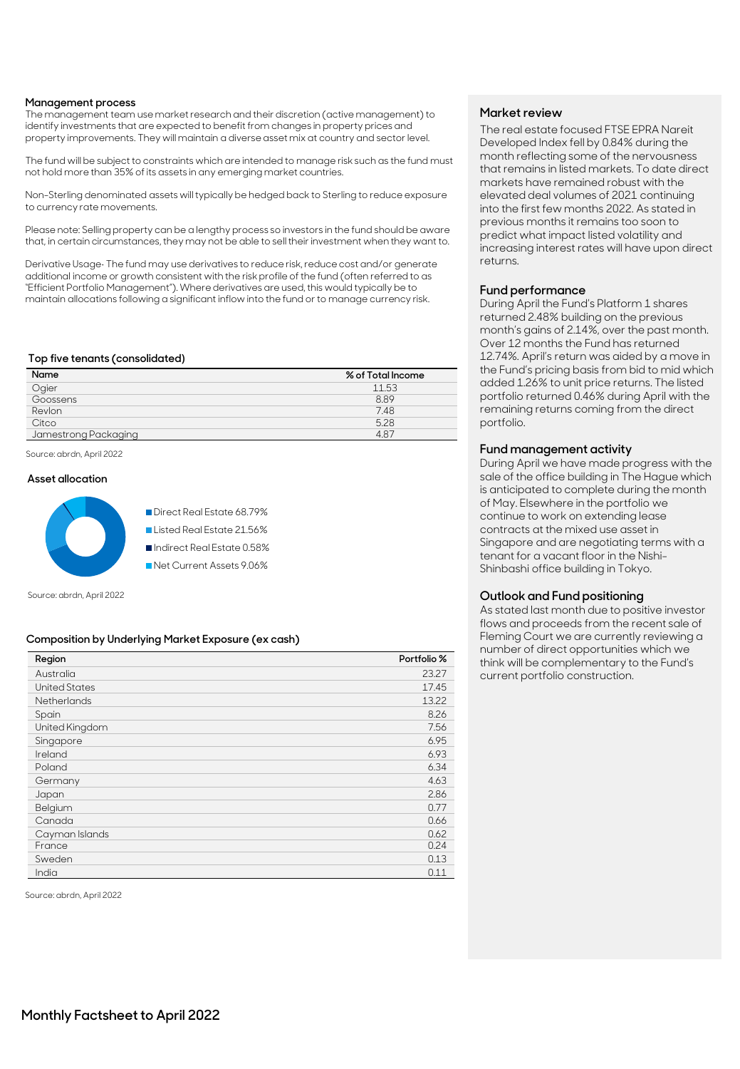### **Management process**

The management team use market research and their discretion (active management) to identify investments that are expected to benefit from changes in property prices and property improvements. They will maintain a diverse asset mix at country and sector level.

The fund will be subject to constraints which are intended to manage risk such as the fund must not hold more than 35% of its assets in any emerging market countries.

Non-Sterling denominated assets will typically be hedged back to Sterling to reduce exposure to currency rate movements.

Please note: Selling property can be a lengthy process so investors in the fund should be aware that, in certain circumstances, they may not be able to sell their investment when they want to.

Derivative Usage• The fund may use derivatives to reduce risk, reduce cost and/or generate additional income or growth consistent with the risk profile of the fund (often referred to as "Efficient Portfolio Management"). Where derivatives are used, this would typically be to maintain allocations following a significant inflow into the fund or to manage currency risk.

### **Top five tenants (consolidated)**

| Name                 | % of Total Income |
|----------------------|-------------------|
| Ogier                | 11.53             |
| Goossens             | 8.89              |
| Revlon               | 7.48              |
| Citco                | 5.28              |
| Jamestrong Packaging | 487               |

Source: abrdn, April 2022

### **Asset allocation**



Direct Real Estate 68.79% Listed Real Estate 21.56% Indirect Real Estate 0.58% Net Current Assets 9.06%

Source: abrdn, April 2022

### **Composition by Underlying Market Exposure (ex cash)**

| Region               | Portfolio % |
|----------------------|-------------|
| Australia            | 23.27       |
| <b>United States</b> | 17.45       |
| <b>Netherlands</b>   | 13.22       |
| Spain                | 8.26        |
| United Kingdom       | 7.56        |
| Singapore            | 6.95        |
| Ireland              | 6.93        |
| Poland               | 6.34        |
| Germany              | 4.63        |
| Japan                | 2.86        |
| Belgium              | 0.77        |
| Canada               | 0.66        |
| Cayman Islands       | 0.62        |
| France               | 0.24        |
| Sweden               | 0.13        |
| India                | 0.11        |

Source: abrdn, April 2022

## **Market review**

The real estate focused FTSE EPRA Nareit Developed Index fell by 0.84% during the month reflecting some of the nervousness that remains in listed markets. To date direct markets have remained robust with the elevated deal volumes of 2021 continuing into the first few months 2022. As stated in previous months it remains too soon to predict what impact listed volatility and increasing interest rates will have upon direct returns.

### **Fund performance**

During April the Fund's Platform 1 shares returned 2.48% building on the previous month's gains of 2.14%, over the past month. Over 12 months the Fund has returned 12.74%. April's return was aided by a move in the Fund's pricing basis from bid to mid which added 1.26% to unit price returns. The listed portfolio returned 0.46% during April with the remaining returns coming from the direct portfolio.

## **Fund management activity**

During April we have made progress with the sale of the office building in The Hague which is anticipated to complete during the month of May. Elsewhere in the portfolio we continue to work on extending lease contracts at the mixed use asset in Singapore and are negotiating terms with a tenant for a vacant floor in the Nishi-Shinbashi office building in Tokyo.

## **Outlook and Fund positioning**

As stated last month due to positive investor flows and proceeds from the recent sale of Fleming Court we are currently reviewing a number of direct opportunities which we think will be complementary to the Fund's current portfolio construction.